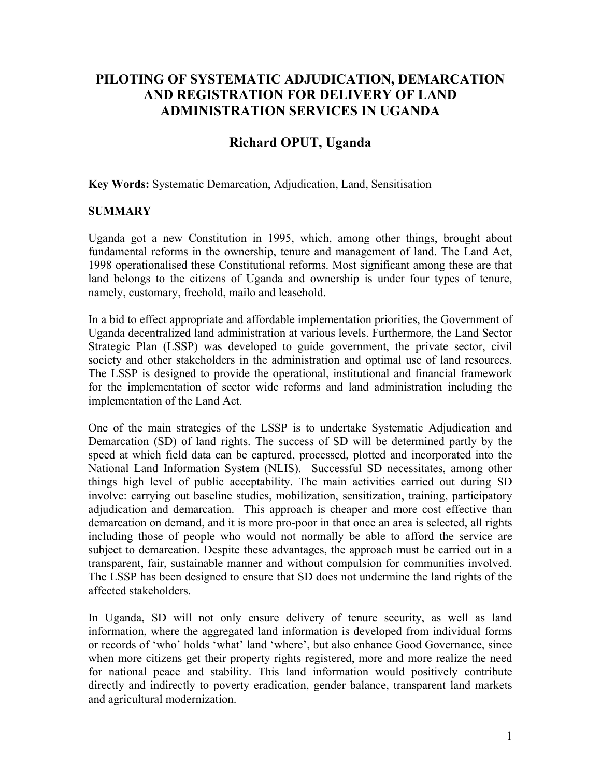# **PILOTING OF SYSTEMATIC ADJUDICATION, DEMARCATION AND REGISTRATION FOR DELIVERY OF LAND ADMINISTRATION SERVICES IN UGANDA**

# **Richard OPUT, Uganda**

**Key Words:** Systematic Demarcation, Adjudication, Land, Sensitisation

### **SUMMARY**

Uganda got a new Constitution in 1995, which, among other things, brought about fundamental reforms in the ownership, tenure and management of land. The Land Act, 1998 operationalised these Constitutional reforms. Most significant among these are that land belongs to the citizens of Uganda and ownership is under four types of tenure, namely, customary, freehold, mailo and leasehold.

In a bid to effect appropriate and affordable implementation priorities, the Government of Uganda decentralized land administration at various levels. Furthermore, the Land Sector Strategic Plan (LSSP) was developed to guide government, the private sector, civil society and other stakeholders in the administration and optimal use of land resources. The LSSP is designed to provide the operational, institutional and financial framework for the implementation of sector wide reforms and land administration including the implementation of the Land Act.

One of the main strategies of the LSSP is to undertake Systematic Adjudication and Demarcation (SD) of land rights. The success of SD will be determined partly by the speed at which field data can be captured, processed, plotted and incorporated into the National Land Information System (NLIS). Successful SD necessitates, among other things high level of public acceptability. The main activities carried out during SD involve: carrying out baseline studies, mobilization, sensitization, training, participatory adjudication and demarcation. This approach is cheaper and more cost effective than demarcation on demand, and it is more pro-poor in that once an area is selected, all rights including those of people who would not normally be able to afford the service are subject to demarcation. Despite these advantages, the approach must be carried out in a transparent, fair, sustainable manner and without compulsion for communities involved. The LSSP has been designed to ensure that SD does not undermine the land rights of the affected stakeholders.

In Uganda, SD will not only ensure delivery of tenure security, as well as land information, where the aggregated land information is developed from individual forms or records of 'who' holds 'what' land 'where', but also enhance Good Governance, since when more citizens get their property rights registered, more and more realize the need for national peace and stability. This land information would positively contribute directly and indirectly to poverty eradication, gender balance, transparent land markets and agricultural modernization.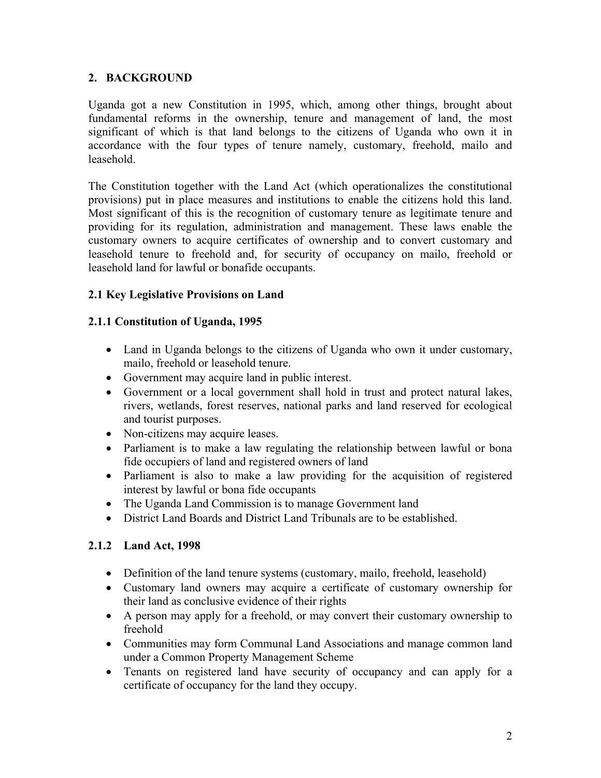# **2. BACKGROUND**

Uganda got a new Constitution in 1995, which, among other things, brought about fundamental reforms in the ownership, tenure and management of land, the most significant of which is that land belongs to the citizens of Uganda who own it in accordance with the four types of tenure namely, customary, freehold, mailo and leasehold.

The Constitution together with the Land Act (which operationalizes the constitutional provisions) put in place measures and institutions to enable the citizens hold this land. Most significant of this is the recognition of customary tenure as legitimate tenure and providing for its regulation, administration and management. These laws enable the customary owners to acquire certificates of ownership and to convert customary and leasehold tenure to freehold and, for security of occupancy on mailo, freehold or leasehold land for lawful or bonafide occupants.

# **2.1 Key Legislative Provisions on Land**

### **2.1.1 Constitution of Uganda, 1995**

- Land in Uganda belongs to the citizens of Uganda who own it under customary, mailo, freehold or leasehold tenure.
- Government may acquire land in public interest.
- Government or a local government shall hold in trust and protect natural lakes, rivers, wetlands, forest reserves, national parks and land reserved for ecological and tourist purposes.
- Non-citizens may acquire leases.
- Parliament is to make a law regulating the relationship between lawful or bona fide occupiers of land and registered owners of land
- Parliament is also to make a law providing for the acquisition of registered interest by lawful or bona fide occupants
- The Uganda Land Commission is to manage Government land
- District Land Boards and District Land Tribunals are to be established.

# **2.1.2 Land Act, 1998**

- Definition of the land tenure systems (customary, mailo, freehold, leasehold)
- Customary land owners may acquire a certificate of customary ownership for their land as conclusive evidence of their rights
- A person may apply for a freehold, or may convert their customary ownership to freehold
- Communities may form Communal Land Associations and manage common land under a Common Property Management Scheme
- Tenants on registered land have security of occupancy and can apply for a certificate of occupancy for the land they occupy.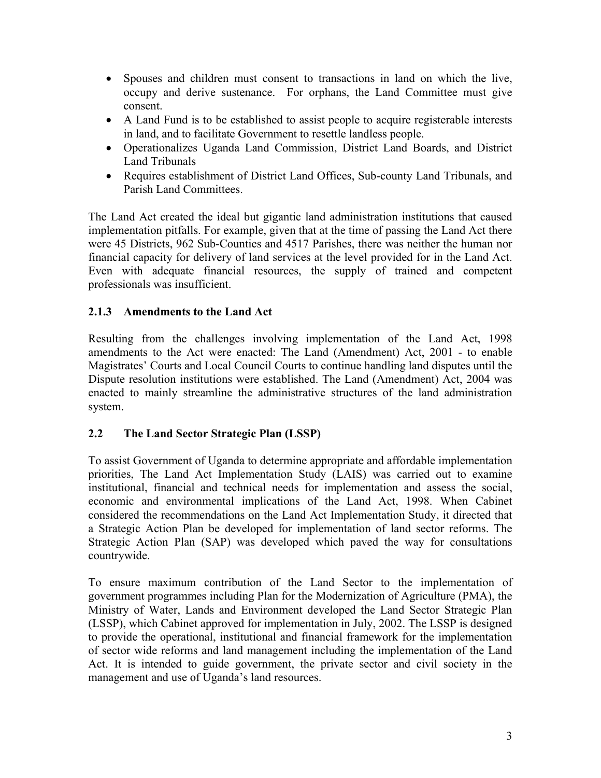- Spouses and children must consent to transactions in land on which the live, occupy and derive sustenance. For orphans, the Land Committee must give consent.
- A Land Fund is to be established to assist people to acquire registerable interests in land, and to facilitate Government to resettle landless people.
- Operationalizes Uganda Land Commission, District Land Boards, and District Land Tribunals
- Requires establishment of District Land Offices, Sub-county Land Tribunals, and Parish Land Committees.

The Land Act created the ideal but gigantic land administration institutions that caused implementation pitfalls. For example, given that at the time of passing the Land Act there were 45 Districts, 962 Sub-Counties and 4517 Parishes, there was neither the human nor financial capacity for delivery of land services at the level provided for in the Land Act. Even with adequate financial resources, the supply of trained and competent professionals was insufficient.

# **2.1.3 Amendments to the Land Act**

Resulting from the challenges involving implementation of the Land Act, 1998 amendments to the Act were enacted: The Land (Amendment) Act, 2001 - to enable Magistrates' Courts and Local Council Courts to continue handling land disputes until the Dispute resolution institutions were established. The Land (Amendment) Act, 2004 was enacted to mainly streamline the administrative structures of the land administration system.

### **2.2 The Land Sector Strategic Plan (LSSP)**

To assist Government of Uganda to determine appropriate and affordable implementation priorities, The Land Act Implementation Study (LAIS) was carried out to examine institutional, financial and technical needs for implementation and assess the social, economic and environmental implications of the Land Act, 1998. When Cabinet considered the recommendations on the Land Act Implementation Study, it directed that a Strategic Action Plan be developed for implementation of land sector reforms. The Strategic Action Plan (SAP) was developed which paved the way for consultations countrywide.

To ensure maximum contribution of the Land Sector to the implementation of government programmes including Plan for the Modernization of Agriculture (PMA), the Ministry of Water, Lands and Environment developed the Land Sector Strategic Plan (LSSP), which Cabinet approved for implementation in July, 2002. The LSSP is designed to provide the operational, institutional and financial framework for the implementation of sector wide reforms and land management including the implementation of the Land Act. It is intended to guide government, the private sector and civil society in the management and use of Uganda's land resources.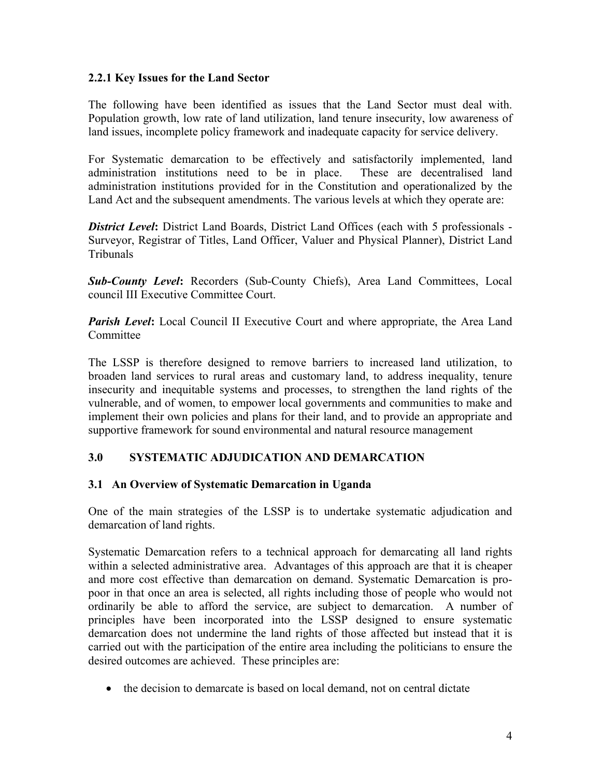#### **2.2.1 Key Issues for the Land Sector**

The following have been identified as issues that the Land Sector must deal with. Population growth, low rate of land utilization, land tenure insecurity, low awareness of land issues, incomplete policy framework and inadequate capacity for service delivery.

For Systematic demarcation to be effectively and satisfactorily implemented, land administration institutions need to be in place. These are decentralised land administration institutions provided for in the Constitution and operationalized by the Land Act and the subsequent amendments. The various levels at which they operate are:

*District Level***:** District Land Boards, District Land Offices (each with 5 professionals - Surveyor, Registrar of Titles, Land Officer, Valuer and Physical Planner), District Land Tribunals

*Sub-County Level***:** Recorders (Sub-County Chiefs), Area Land Committees, Local council III Executive Committee Court.

*Parish Level*: Local Council II Executive Court and where appropriate, the Area Land **Committee** 

The LSSP is therefore designed to remove barriers to increased land utilization, to broaden land services to rural areas and customary land, to address inequality, tenure insecurity and inequitable systems and processes, to strengthen the land rights of the vulnerable, and of women, to empower local governments and communities to make and implement their own policies and plans for their land, and to provide an appropriate and supportive framework for sound environmental and natural resource management

### **3.0 SYSTEMATIC ADJUDICATION AND DEMARCATION**

### **3.1 An Overview of Systematic Demarcation in Uganda**

One of the main strategies of the LSSP is to undertake systematic adjudication and demarcation of land rights.

Systematic Demarcation refers to a technical approach for demarcating all land rights within a selected administrative area. Advantages of this approach are that it is cheaper and more cost effective than demarcation on demand. Systematic Demarcation is propoor in that once an area is selected, all rights including those of people who would not ordinarily be able to afford the service, are subject to demarcation. A number of principles have been incorporated into the LSSP designed to ensure systematic demarcation does not undermine the land rights of those affected but instead that it is carried out with the participation of the entire area including the politicians to ensure the desired outcomes are achieved. These principles are:

• the decision to demarcate is based on local demand, not on central dictate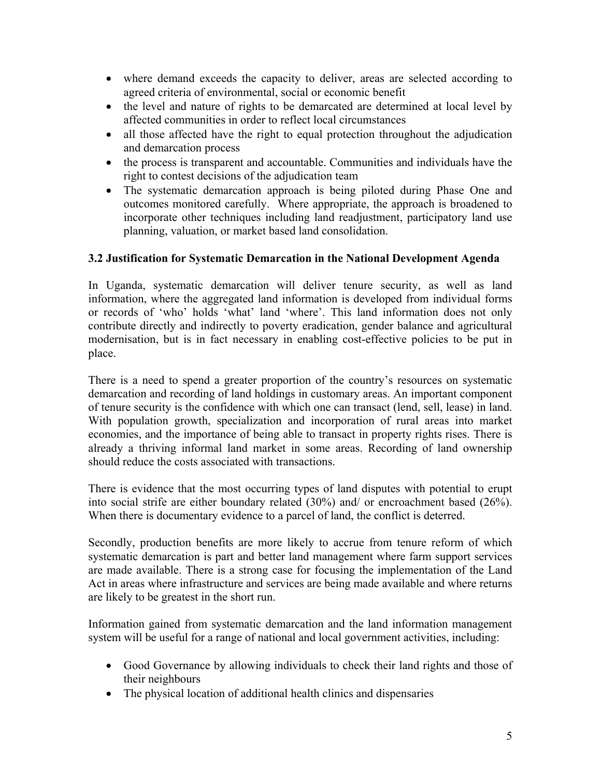- where demand exceeds the capacity to deliver, areas are selected according to agreed criteria of environmental, social or economic benefit
- the level and nature of rights to be demarcated are determined at local level by affected communities in order to reflect local circumstances
- all those affected have the right to equal protection throughout the adjudication and demarcation process
- the process is transparent and accountable. Communities and individuals have the right to contest decisions of the adjudication team
- The systematic demarcation approach is being piloted during Phase One and outcomes monitored carefully. Where appropriate, the approach is broadened to incorporate other techniques including land readjustment, participatory land use planning, valuation, or market based land consolidation.

# **3.2 Justification for Systematic Demarcation in the National Development Agenda**

In Uganda, systematic demarcation will deliver tenure security, as well as land information, where the aggregated land information is developed from individual forms or records of 'who' holds 'what' land 'where'. This land information does not only contribute directly and indirectly to poverty eradication, gender balance and agricultural modernisation, but is in fact necessary in enabling cost-effective policies to be put in place.

There is a need to spend a greater proportion of the country's resources on systematic demarcation and recording of land holdings in customary areas. An important component of tenure security is the confidence with which one can transact (lend, sell, lease) in land. With population growth, specialization and incorporation of rural areas into market economies, and the importance of being able to transact in property rights rises. There is already a thriving informal land market in some areas. Recording of land ownership should reduce the costs associated with transactions.

There is evidence that the most occurring types of land disputes with potential to erupt into social strife are either boundary related (30%) and/ or encroachment based (26%). When there is documentary evidence to a parcel of land, the conflict is deterred.

Secondly, production benefits are more likely to accrue from tenure reform of which systematic demarcation is part and better land management where farm support services are made available. There is a strong case for focusing the implementation of the Land Act in areas where infrastructure and services are being made available and where returns are likely to be greatest in the short run.

Information gained from systematic demarcation and the land information management system will be useful for a range of national and local government activities, including:

- Good Governance by allowing individuals to check their land rights and those of their neighbours
- The physical location of additional health clinics and dispensaries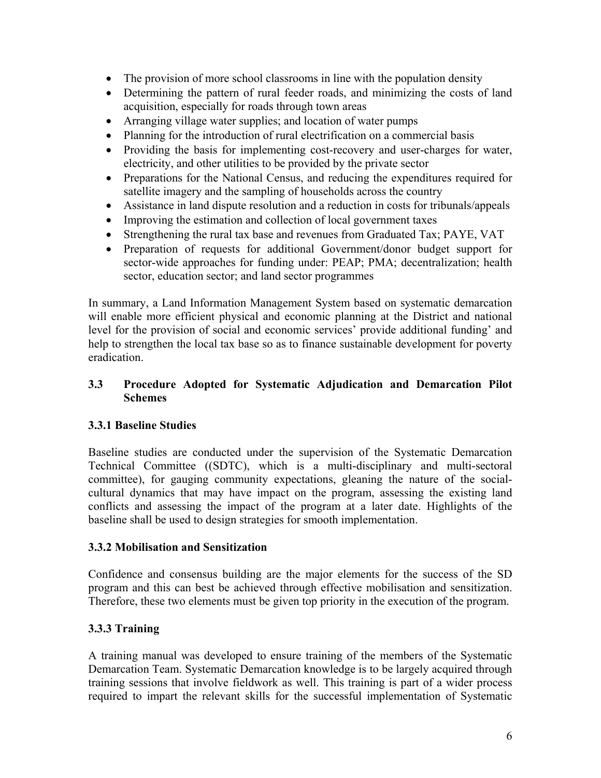- The provision of more school classrooms in line with the population density
- Determining the pattern of rural feeder roads, and minimizing the costs of land acquisition, especially for roads through town areas
- Arranging village water supplies; and location of water pumps
- Planning for the introduction of rural electrification on a commercial basis
- Providing the basis for implementing cost-recovery and user-charges for water, electricity, and other utilities to be provided by the private sector
- Preparations for the National Census, and reducing the expenditures required for satellite imagery and the sampling of households across the country
- Assistance in land dispute resolution and a reduction in costs for tribunals/appeals
- Improving the estimation and collection of local government taxes
- Strengthening the rural tax base and revenues from Graduated Tax; PAYE, VAT
- Preparation of requests for additional Government/donor budget support for sector-wide approaches for funding under: PEAP; PMA; decentralization; health sector, education sector; and land sector programmes

In summary, a Land Information Management System based on systematic demarcation will enable more efficient physical and economic planning at the District and national level for the provision of social and economic services' provide additional funding' and help to strengthen the local tax base so as to finance sustainable development for poverty eradication.

# **3.3 Procedure Adopted for Systematic Adjudication and Demarcation Pilot Schemes**

# **3.3.1 Baseline Studies**

Baseline studies are conducted under the supervision of the Systematic Demarcation Technical Committee ((SDTC), which is a multi-disciplinary and multi-sectoral committee), for gauging community expectations, gleaning the nature of the socialcultural dynamics that may have impact on the program, assessing the existing land conflicts and assessing the impact of the program at a later date. Highlights of the baseline shall be used to design strategies for smooth implementation.

### **3.3.2 Mobilisation and Sensitization**

Confidence and consensus building are the major elements for the success of the SD program and this can best be achieved through effective mobilisation and sensitization. Therefore, these two elements must be given top priority in the execution of the program.

# **3.3.3 Training**

A training manual was developed to ensure training of the members of the Systematic Demarcation Team. Systematic Demarcation knowledge is to be largely acquired through training sessions that involve fieldwork as well. This training is part of a wider process required to impart the relevant skills for the successful implementation of Systematic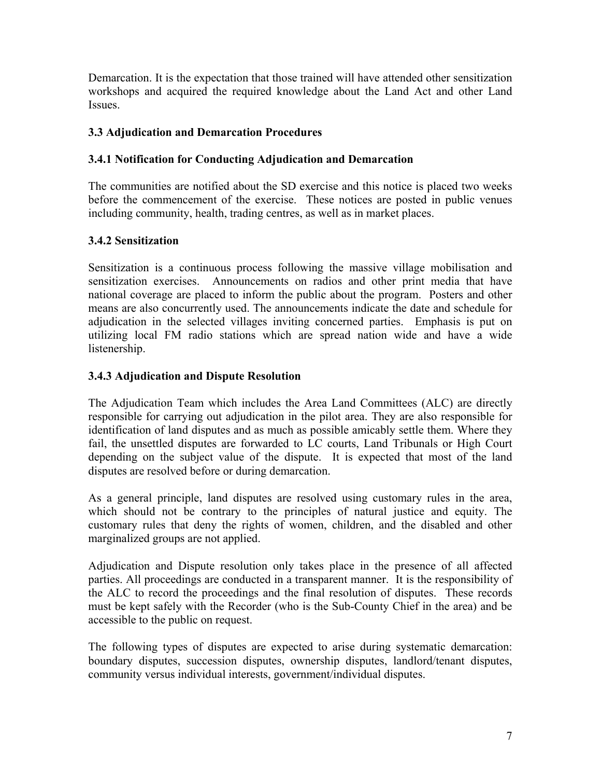Demarcation. It is the expectation that those trained will have attended other sensitization workshops and acquired the required knowledge about the Land Act and other Land Issues.

## **3.3 Adjudication and Demarcation Procedures**

# **3.4.1 Notification for Conducting Adjudication and Demarcation**

The communities are notified about the SD exercise and this notice is placed two weeks before the commencement of the exercise. These notices are posted in public venues including community, health, trading centres, as well as in market places.

# **3.4.2 Sensitization**

Sensitization is a continuous process following the massive village mobilisation and sensitization exercises.Announcements on radios and other print media that have national coverage are placed to inform the public about the program. Posters and other means are also concurrently used. The announcements indicate the date and schedule for adjudication in the selected villages inviting concerned parties. Emphasis is put on utilizing local FM radio stations which are spread nation wide and have a wide listenership.

# **3.4.3 Adjudication and Dispute Resolution**

The Adjudication Team which includes the Area Land Committees (ALC) are directly responsible for carrying out adjudication in the pilot area. They are also responsible for identification of land disputes and as much as possible amicably settle them. Where they fail, the unsettled disputes are forwarded to LC courts, Land Tribunals or High Court depending on the subject value of the dispute. It is expected that most of the land disputes are resolved before or during demarcation.

As a general principle, land disputes are resolved using customary rules in the area, which should not be contrary to the principles of natural justice and equity. The customary rules that deny the rights of women, children, and the disabled and other marginalized groups are not applied.

Adjudication and Dispute resolution only takes place in the presence of all affected parties. All proceedings are conducted in a transparent manner. It is the responsibility of the ALC to record the proceedings and the final resolution of disputes. These records must be kept safely with the Recorder (who is the Sub-County Chief in the area) and be accessible to the public on request.

The following types of disputes are expected to arise during systematic demarcation: boundary disputes, succession disputes, ownership disputes, landlord/tenant disputes, community versus individual interests, government/individual disputes.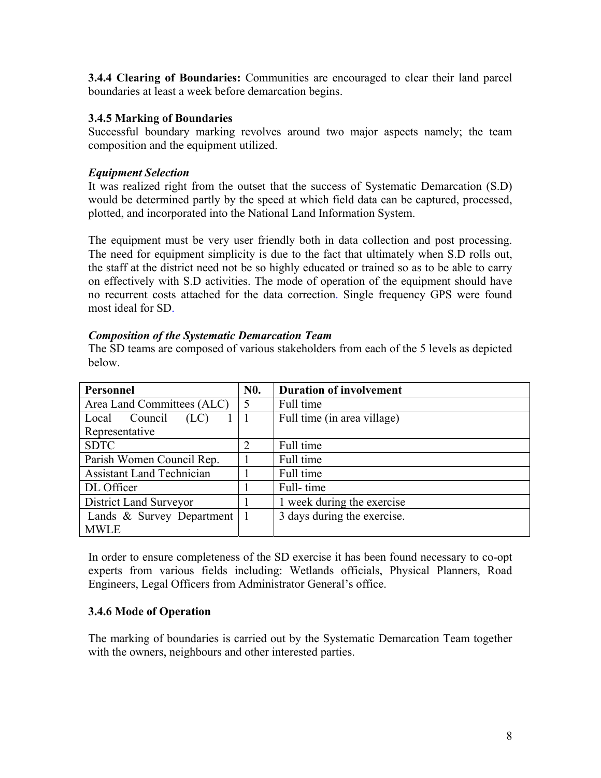**3.4.4 Clearing of Boundaries:** Communities are encouraged to clear their land parcel boundaries at least a week before demarcation begins.

#### **3.4.5 Marking of Boundaries**

Successful boundary marking revolves around two major aspects namely; the team composition and the equipment utilized.

### *Equipment Selection*

It was realized right from the outset that the success of Systematic Demarcation (S.D) would be determined partly by the speed at which field data can be captured, processed, plotted, and incorporated into the National Land Information System.

The equipment must be very user friendly both in data collection and post processing. The need for equipment simplicity is due to the fact that ultimately when S.D rolls out, the staff at the district need not be so highly educated or trained so as to be able to carry on effectively with S.D activities. The mode of operation of the equipment should have no recurrent costs attached for the data correction. Single frequency GPS were found most ideal for SD.

#### *Composition of the Systematic Demarcation Team*

The SD teams are composed of various stakeholders from each of the 5 levels as depicted below.

| Personnel                        | <b>N0.</b> | <b>Duration of involvement</b> |
|----------------------------------|------------|--------------------------------|
| Area Land Committees (ALC)       | 5          | Full time                      |
| Council<br>(LC)<br>Local         |            | Full time (in area village)    |
| Representative                   |            |                                |
| <b>SDTC</b>                      | 2          | Full time                      |
| Parish Women Council Rep.        |            | Full time                      |
| <b>Assistant Land Technician</b> |            | Full time                      |
| DL Officer                       |            | Full-time                      |
| District Land Surveyor           |            | 1 week during the exercise     |
| Lands & Survey Department        |            | 3 days during the exercise.    |
| <b>MWLE</b>                      |            |                                |

In order to ensure completeness of the SD exercise it has been found necessary to co-opt experts from various fields including: Wetlands officials, Physical Planners, Road Engineers, Legal Officers from Administrator General's office.

### **3.4.6 Mode of Operation**

The marking of boundaries is carried out by the Systematic Demarcation Team together with the owners, neighbours and other interested parties.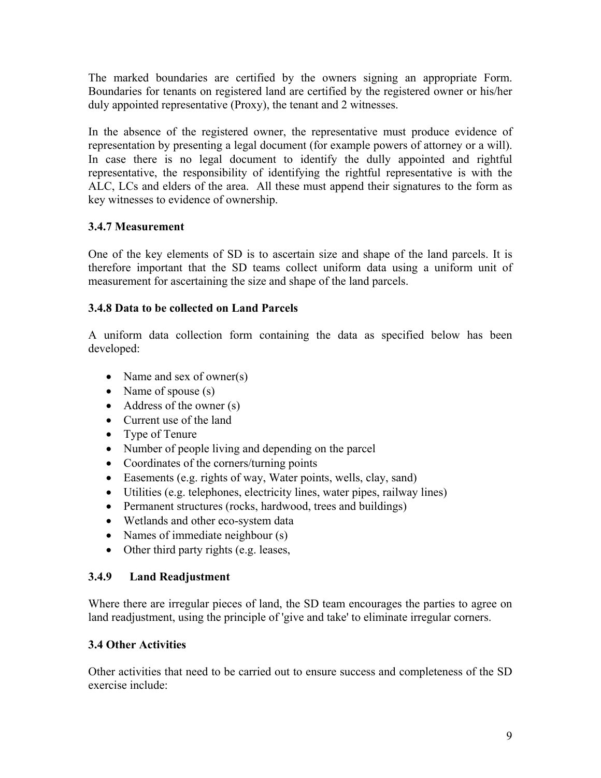The marked boundaries are certified by the owners signing an appropriate Form. Boundaries for tenants on registered land are certified by the registered owner or his/her duly appointed representative (Proxy), the tenant and 2 witnesses.

In the absence of the registered owner, the representative must produce evidence of representation by presenting a legal document (for example powers of attorney or a will). In case there is no legal document to identify the dully appointed and rightful representative, the responsibility of identifying the rightful representative is with the ALC, LCs and elders of the area. All these must append their signatures to the form as key witnesses to evidence of ownership.

# **3.4.7 Measurement**

One of the key elements of SD is to ascertain size and shape of the land parcels. It is therefore important that the SD teams collect uniform data using a uniform unit of measurement for ascertaining the size and shape of the land parcels.

# **3.4.8 Data to be collected on Land Parcels**

A uniform data collection form containing the data as specified below has been developed:

- Name and sex of owner(s)
- Name of spouse (s)
- Address of the owner (s)
- Current use of the land
- Type of Tenure
- Number of people living and depending on the parcel
- Coordinates of the corners/turning points
- Easements (e.g. rights of way, Water points, wells, clay, sand)
- Utilities (e.g. telephones, electricity lines, water pipes, railway lines)
- Permanent structures (rocks, hardwood, trees and buildings)
- Wetlands and other eco-system data
- Names of immediate neighbour (s)
- Other third party rights (e.g. leases,

# **3.4.9 Land Readjustment**

Where there are irregular pieces of land, the SD team encourages the parties to agree on land readjustment, using the principle of 'give and take' to eliminate irregular corners.

# **3.4 Other Activities**

Other activities that need to be carried out to ensure success and completeness of the SD exercise include: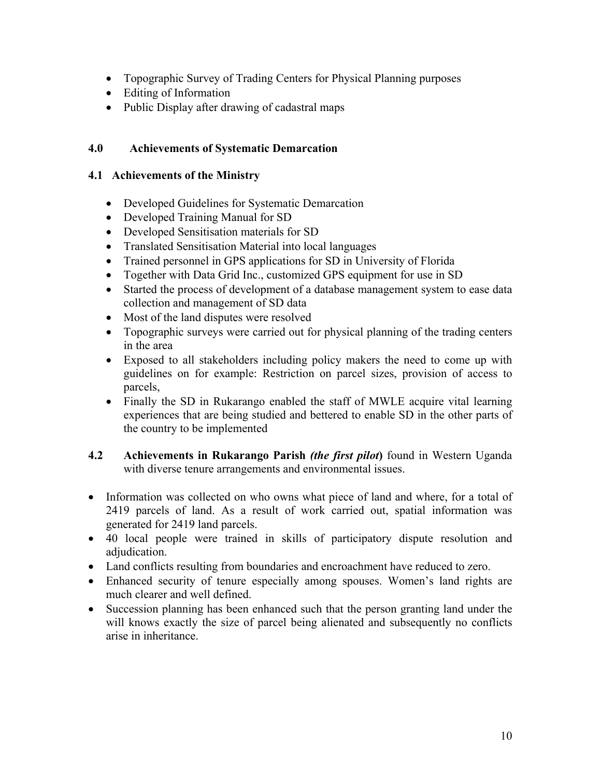- Topographic Survey of Trading Centers for Physical Planning purposes
- Editing of Information
- Public Display after drawing of cadastral maps

### **4.0 Achievements of Systematic Demarcation**

#### **4.1 Achievements of the Ministry**

- Developed Guidelines for Systematic Demarcation
- Developed Training Manual for SD
- Developed Sensitisation materials for SD
- Translated Sensitisation Material into local languages
- Trained personnel in GPS applications for SD in University of Florida
- Together with Data Grid Inc., customized GPS equipment for use in SD
- Started the process of development of a database management system to ease data collection and management of SD data
- Most of the land disputes were resolved
- Topographic surveys were carried out for physical planning of the trading centers in the area
- Exposed to all stakeholders including policy makers the need to come up with guidelines on for example: Restriction on parcel sizes, provision of access to parcels,
- Finally the SD in Rukarango enabled the staff of MWLE acquire vital learning experiences that are being studied and bettered to enable SD in the other parts of the country to be implemented
- **4.2 Achievements in Rukarango Parish** *(the first pilot***)** found in Western Uganda with diverse tenure arrangements and environmental issues.
- Information was collected on who owns what piece of land and where, for a total of 2419 parcels of land. As a result of work carried out, spatial information was generated for 2419 land parcels.
- 40 local people were trained in skills of participatory dispute resolution and adjudication.
- Land conflicts resulting from boundaries and encroachment have reduced to zero.
- Enhanced security of tenure especially among spouses. Women's land rights are much clearer and well defined.
- Succession planning has been enhanced such that the person granting land under the will knows exactly the size of parcel being alienated and subsequently no conflicts arise in inheritance.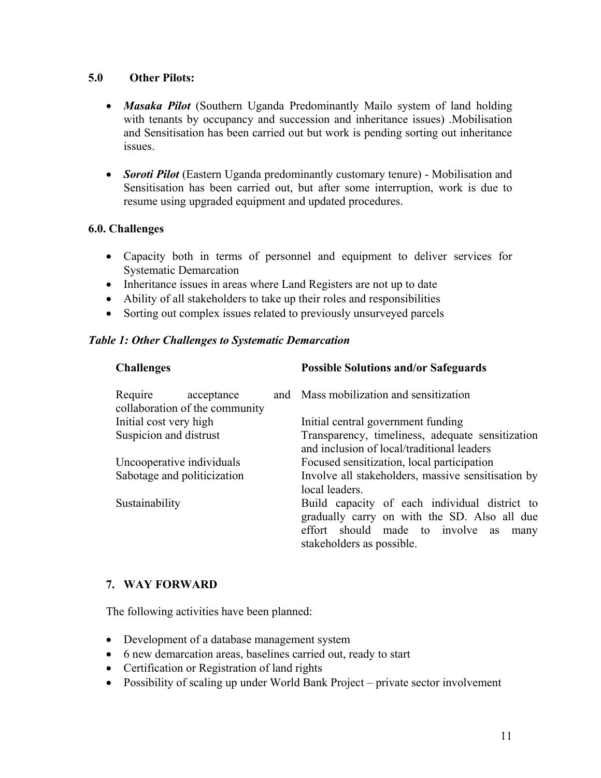### **5.0 Other Pilots:**

- *Masaka Pilot* (Southern Uganda Predominantly Mailo system of land holding with tenants by occupancy and succession and inheritance issues) .Mobilisation and Sensitisation has been carried out but work is pending sorting out inheritance issues.
- *Soroti Pilot* (Eastern Uganda predominantly customary tenure) Mobilisation and Sensitisation has been carried out, but after some interruption, work is due to resume using upgraded equipment and updated procedures.

#### **6.0. Challenges**

- Capacity both in terms of personnel and equipment to deliver services for Systematic Demarcation
- Inheritance issues in areas where Land Registers are not up to date
- Ability of all stakeholders to take up their roles and responsibilities
- Sorting out complex issues related to previously unsurveyed parcels

#### *Table 1: Other Challenges to Systematic Demarcation*

| <b>Challenges</b>                                    | <b>Possible Solutions and/or Safeguards</b>                                                                                                                                      |
|------------------------------------------------------|----------------------------------------------------------------------------------------------------------------------------------------------------------------------------------|
| Require acceptance<br>collaboration of the community | and Mass mobilization and sensitization                                                                                                                                          |
| Initial cost very high                               | Initial central government funding                                                                                                                                               |
| Suspicion and distrust                               | Transparency, timeliness, adequate sensitization<br>and inclusion of local/traditional leaders                                                                                   |
| Uncooperative individuals                            | Focused sensitization, local participation                                                                                                                                       |
| Sabotage and politicization                          | Involve all stakeholders, massive sensitisation by<br>local leaders.                                                                                                             |
| Sustainability                                       | Build capacity of each individual district to<br>gradually carry on with the SD. Also all due<br>effort should made to involve<br><b>as</b><br>many<br>stakeholders as possible. |

#### **7. WAY FORWARD**

The following activities have been planned:

- Development of a database management system
- 6 new demarcation areas, baselines carried out, ready to start
- Certification or Registration of land rights
- Possibility of scaling up under World Bank Project private sector involvement